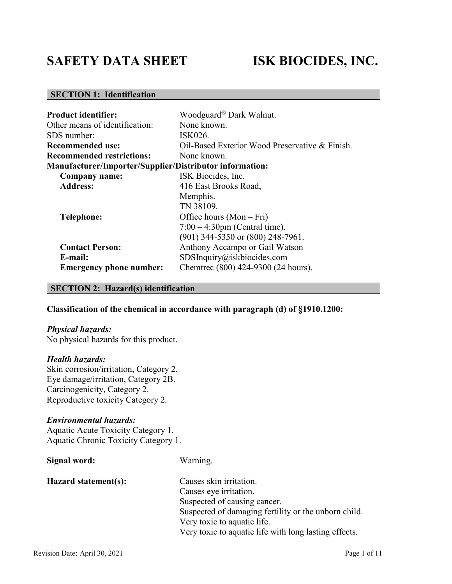# **SAFETY DATA SHEET ISK BIOCIDES, INC.**

# **SECTION 1: Identification**

| <b>Product identifier:</b>                                     | Woodguard® Dark Walnut.                        |
|----------------------------------------------------------------|------------------------------------------------|
| Other means of identification:                                 | None known.                                    |
| SDS number:                                                    | ISK026.                                        |
| <b>Recommended use:</b>                                        | Oil-Based Exterior Wood Preservative & Finish. |
| <b>Recommended restrictions:</b>                               | None known.                                    |
| <b>Manufacturer/Importer/Supplier/Distributor information:</b> |                                                |
| Company name:                                                  | ISK Biocides, Inc.                             |
| <b>Address:</b>                                                | 416 East Brooks Road,                          |
|                                                                | Memphis.                                       |
|                                                                | TN 38109.                                      |
| <b>Telephone:</b>                                              | Office hours $(Mon-Fri)$                       |
|                                                                | $7:00 - 4:30$ pm (Central time).               |
|                                                                | (901) 344-5350 or (800) 248-7961.              |
| <b>Contact Person:</b>                                         | Anthony Accampo or Gail Watson                 |
| E-mail:                                                        | SDSInquiry@iskbiocides.com                     |
| <b>Emergency phone number:</b>                                 | Chemtrec (800) 424-9300 (24 hours).            |

#### **SECTION 2: Hazard(s) identification**

### **Classification of the chemical in accordance with paragraph (d) of §1910.1200:**

#### *Physical hazards:*

No physical hazards for this product.

#### *Health hazards:*

Skin corrosion/irritation, Category 2. Eye damage/irritation, Category 2B. Carcinogenicity, Category 2. Reproductive toxicity Category 2.

#### *Environmental hazards:*

Aquatic Acute Toxicity Category 1. Aquatic Chronic Toxicity Category 1.

| Signal word:         | Warning.                                              |
|----------------------|-------------------------------------------------------|
| Hazard statement(s): | Causes skin irritation.                               |
|                      | Causes eye irritation.                                |
|                      | Suspected of causing cancer.                          |
|                      | Suspected of damaging fertility or the unborn child.  |
|                      | Very toxic to aquatic life.                           |
|                      | Very toxic to aquatic life with long lasting effects. |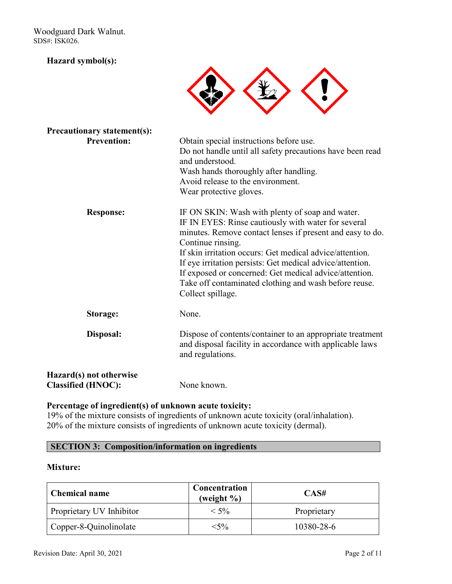#### **Hazard symbol(s):**



| <b>Precautionary statement(s):</b>                   |                                                                                                                                                                                                                                                                                                                                                                                                                                                           |
|------------------------------------------------------|-----------------------------------------------------------------------------------------------------------------------------------------------------------------------------------------------------------------------------------------------------------------------------------------------------------------------------------------------------------------------------------------------------------------------------------------------------------|
| <b>Prevention:</b>                                   | Obtain special instructions before use.<br>Do not handle until all safety precautions have been read<br>and understood.<br>Wash hands thoroughly after handling.<br>Avoid release to the environment.<br>Wear protective gloves.                                                                                                                                                                                                                          |
| <b>Response:</b>                                     | IF ON SKIN: Wash with plenty of soap and water.<br>IF IN EYES: Rinse cautiously with water for several<br>minutes. Remove contact lenses if present and easy to do.<br>Continue rinsing.<br>If skin irritation occurs: Get medical advice/attention.<br>If eye irritation persists: Get medical advice/attention.<br>If exposed or concerned: Get medical advice/attention.<br>Take off contaminated clothing and wash before reuse.<br>Collect spillage. |
| Storage:                                             | None.                                                                                                                                                                                                                                                                                                                                                                                                                                                     |
| Disposal:                                            | Dispose of contents/container to an appropriate treatment<br>and disposal facility in accordance with applicable laws<br>and regulations.                                                                                                                                                                                                                                                                                                                 |
| Hazard(s) not otherwise<br><b>Classified (HNOC):</b> | None known.                                                                                                                                                                                                                                                                                                                                                                                                                                               |

#### **Percentage of ingredient(s) of unknown acute toxicity:**

19% of the mixture consists of ingredients of unknown acute toxicity (oral/inhalation). 20% of the mixture consists of ingredients of unknown acute toxicity (dermal).

#### **SECTION 3: Composition/information on ingredients**

#### **Mixture:**

| <b>Chemical name</b>     | Concentration<br>(weight $\%$ ) | CAS#        |
|--------------------------|---------------------------------|-------------|
| Proprietary UV Inhibitor | $< 5\%$                         | Proprietary |
| Copper-8-Quinolinolate   | $<$ 5%                          | 10380-28-6  |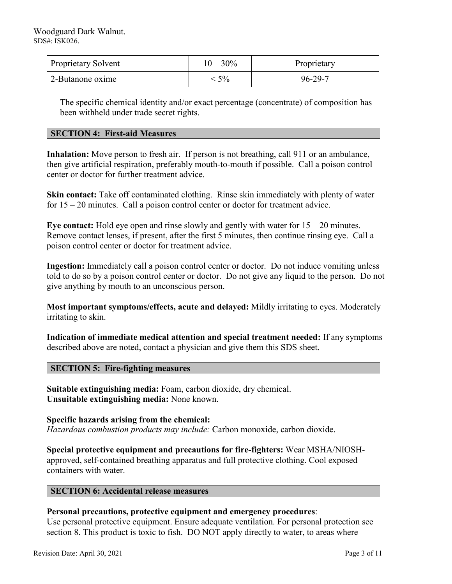| <b>Proprietary Solvent</b> | $10 - 30\%$ | Proprietary |
|----------------------------|-------------|-------------|
| 2-Butanone oxime           | $5\%$       | 96-29-7     |

The specific chemical identity and/or exact percentage (concentrate) of composition has been withheld under trade secret rights.

#### **SECTION 4: First-aid Measures**

**Inhalation:** Move person to fresh air. If person is not breathing, call 911 or an ambulance, then give artificial respiration, preferably mouth-to-mouth if possible. Call a poison control center or doctor for further treatment advice.

**Skin contact:** Take off contaminated clothing. Rinse skin immediately with plenty of water for 15 – 20 minutes. Call a poison control center or doctor for treatment advice.

**Eye contact:** Hold eye open and rinse slowly and gently with water for 15 – 20 minutes. Remove contact lenses, if present, after the first 5 minutes, then continue rinsing eye. Call a poison control center or doctor for treatment advice.

**Ingestion:** Immediately call a poison control center or doctor. Do not induce vomiting unless told to do so by a poison control center or doctor. Do not give any liquid to the person. Do not give anything by mouth to an unconscious person.

**Most important symptoms/effects, acute and delayed:** Mildly irritating to eyes. Moderately irritating to skin.

**Indication of immediate medical attention and special treatment needed:** If any symptoms described above are noted, contact a physician and give them this SDS sheet.

#### **SECTION 5: Fire-fighting measures**

**Suitable extinguishing media:** Foam, carbon dioxide, dry chemical. **Unsuitable extinguishing media:** None known.

**Specific hazards arising from the chemical:** *Hazardous combustion products may include:* Carbon monoxide, carbon dioxide.

**Special protective equipment and precautions for fire-fighters:** Wear MSHA/NIOSHapproved, self-contained breathing apparatus and full protective clothing. Cool exposed containers with water.

#### **SECTION 6: Accidental release measures**

#### **Personal precautions, protective equipment and emergency procedures**:

Use personal protective equipment. Ensure adequate ventilation. For personal protection see section 8. This product is toxic to fish. DO NOT apply directly to water, to areas where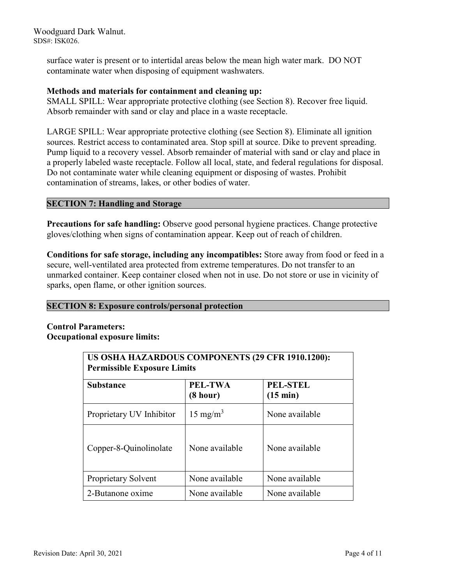> surface water is present or to intertidal areas below the mean high water mark. DO NOT contaminate water when disposing of equipment washwaters.

#### **Methods and materials for containment and cleaning up:**

SMALL SPILL: Wear appropriate protective clothing (see Section 8). Recover free liquid. Absorb remainder with sand or clay and place in a waste receptacle.

LARGE SPILL: Wear appropriate protective clothing (see Section 8). Eliminate all ignition sources. Restrict access to contaminated area. Stop spill at source. Dike to prevent spreading. Pump liquid to a recovery vessel. Absorb remainder of material with sand or clay and place in a properly labeled waste receptacle. Follow all local, state, and federal regulations for disposal. Do not contaminate water while cleaning equipment or disposing of wastes. Prohibit contamination of streams, lakes, or other bodies of water.

#### **SECTION 7: Handling and Storage**

**Precautions for safe handling:** Observe good personal hygiene practices. Change protective gloves/clothing when signs of contamination appear. Keep out of reach of children.

**Conditions for safe storage, including any incompatibles:** Store away from food or feed in a secure, well-ventilated area protected from extreme temperatures. Do not transfer to an unmarked container. Keep container closed when not in use. Do not store or use in vicinity of sparks, open flame, or other ignition sources.

#### **SECTION 8: Exposure controls/personal protection**

#### **Control Parameters: Occupational exposure limits:**

| US OSHA HAZARDOUS COMPONENTS (29 CFR 1910.1200):<br><b>Permissible Exposure Limits</b> |                            |                                       |
|----------------------------------------------------------------------------------------|----------------------------|---------------------------------------|
| <b>Substance</b>                                                                       | <b>PEL-TWA</b><br>(8 hour) | <b>PEL-STEL</b><br>$(15 \text{ min})$ |
| Proprietary UV Inhibitor                                                               | $15 \text{ mg/m}^3$        | None available                        |
| Copper-8-Quinolinolate                                                                 | None available             | None available                        |
| Proprietary Solvent                                                                    | None available             | None available                        |
| 2-Butanone oxime                                                                       | None available             | None available                        |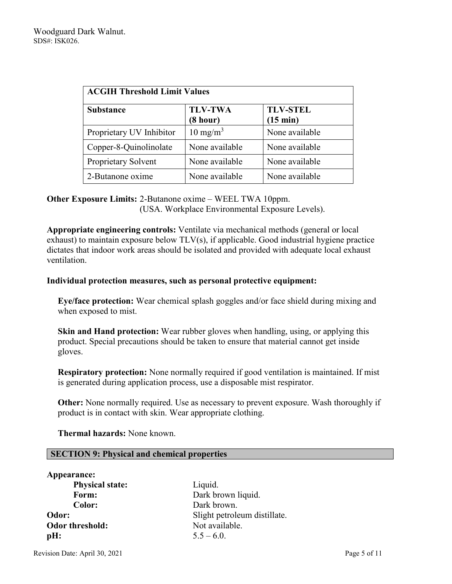| <b>ACGIH Threshold Limit Values</b> |                            |                                       |
|-------------------------------------|----------------------------|---------------------------------------|
| <b>Substance</b>                    | <b>TLV-TWA</b><br>(8 hour) | <b>TLV-STEL</b><br>$(15 \text{ min})$ |
| Proprietary UV Inhibitor            | $10 \text{ mg/m}^3$        | None available                        |
| Copper-8-Quinolinolate              | None available             | None available                        |
| Proprietary Solvent                 | None available             | None available                        |
| 2-Butanone oxime                    | None available             | None available                        |

# **Other Exposure Limits:** 2-Butanone oxime – WEEL TWA 10ppm. (USA. Workplace Environmental Exposure Levels).

**Appropriate engineering controls:** Ventilate via mechanical methods (general or local exhaust) to maintain exposure below TLV(s), if applicable. Good industrial hygiene practice dictates that indoor work areas should be isolated and provided with adequate local exhaust ventilation.

### **Individual protection measures, such as personal protective equipment:**

**Eye/face protection:** Wear chemical splash goggles and/or face shield during mixing and when exposed to mist.

**Skin and Hand protection:** Wear rubber gloves when handling, using, or applying this product. Special precautions should be taken to ensure that material cannot get inside gloves.

**Respiratory protection:** None normally required if good ventilation is maintained. If mist is generated during application process, use a disposable mist respirator.

**Other:** None normally required. Use as necessary to prevent exposure. Wash thoroughly if product is in contact with skin. Wear appropriate clothing.

 **Thermal hazards:** None known.

#### **SECTION 9: Physical and chemical properties**

| Appearance:            |                              |
|------------------------|------------------------------|
| <b>Physical state:</b> | Liquid.                      |
| Form:                  | Dark brown liquid.           |
| Color:                 | Dark brown.                  |
| Odor:                  | Slight petroleum distillate. |
| Odor threshold:        | Not available.               |
| $pH$ :                 | $5.5 - 6.0$ .                |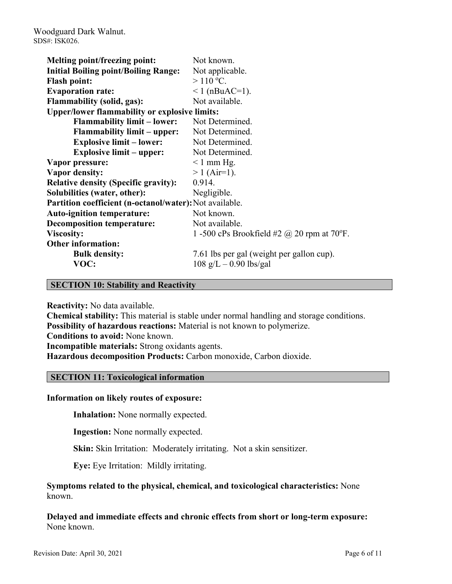| <b>Melting point/freezing point:</b>                    | Not known.                                        |
|---------------------------------------------------------|---------------------------------------------------|
| <b>Initial Boiling point/Boiling Range:</b>             | Not applicable.                                   |
| <b>Flash point:</b>                                     | $>110$ °C.                                        |
| <b>Evaporation rate:</b>                                | $1$ (nBuAC=1).                                    |
| <b>Flammability (solid, gas):</b>                       | Not available.                                    |
| <b>Upper/lower flammability or explosive limits:</b>    |                                                   |
| <b>Flammability limit – lower:</b>                      | Not Determined.                                   |
| <b>Flammability limit – upper:</b>                      | Not Determined.                                   |
| <b>Explosive limit – lower:</b>                         | Not Determined.                                   |
| <b>Explosive limit - upper:</b>                         | Not Determined.                                   |
| Vapor pressure:                                         | $\leq 1$ mm Hg.                                   |
| <b>Vapor density:</b>                                   | $> 1$ (Air=1).                                    |
| <b>Relative density (Specific gravity):</b>             | 0.914.                                            |
| Solubilities (water, other):                            | Negligible.                                       |
| Partition coefficient (n-octanol/water): Not available. |                                                   |
| <b>Auto-ignition temperature:</b>                       | Not known.                                        |
| <b>Decomposition temperature:</b>                       | Not available.                                    |
| <b>Viscosity:</b>                                       | 1 -500 cPs Brookfield #2 $\omega$ 20 rpm at 70°F. |
| <b>Other information:</b>                               |                                                   |
| <b>Bulk density:</b>                                    | 7.61 lbs per gal (weight per gallon cup).         |
| VOC:                                                    | $108 g/L - 0.90$ lbs/gal                          |
|                                                         |                                                   |

#### **SECTION 10: Stability and Reactivity**

**Reactivity:** No data available.

**Chemical stability:** This material is stable under normal handling and storage conditions. **Possibility of hazardous reactions:** Material is not known to polymerize. **Conditions to avoid:** None known. **Incompatible materials:** Strong oxidants agents. **Hazardous decomposition Products:** Carbon monoxide, Carbon dioxide.

#### **SECTION 11: Toxicological information**

#### **Information on likely routes of exposure:**

**Inhalation:** None normally expected.

**Ingestion:** None normally expected.

**Skin:** Skin Irritation: Moderately irritating. Not a skin sensitizer.

**Eye:** Eye Irritation: Mildly irritating.

**Symptoms related to the physical, chemical, and toxicological characteristics:** None known.

**Delayed and immediate effects and chronic effects from short or long-term exposure:** None known.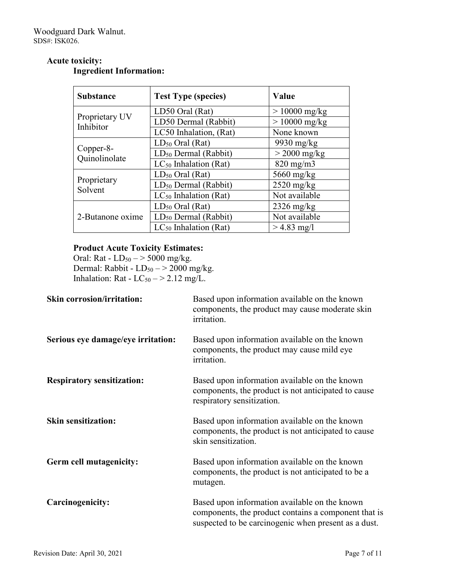| <b>Substance</b>            | <b>Test Type (species)</b> | Value                |
|-----------------------------|----------------------------|----------------------|
|                             | LD50 Oral (Rat)            | $> 10000$ mg/kg      |
| Proprietary UV<br>Inhibitor | LD50 Dermal (Rabbit)       | $> 10000$ mg/kg      |
|                             | LC50 Inhalation, (Rat)     | None known           |
|                             | $LD_{50}$ Oral (Rat)       | $9930$ mg/kg         |
| Copper-8-<br>Quinolinolate  | $LD_{50}$ Dermal (Rabbit)  | $>$ 2000 mg/kg       |
|                             | $LC_{50}$ Inhalation (Rat) | $820 \text{ mg/m}$   |
|                             | $LD_{50}$ Oral (Rat)       | $5660$ mg/kg         |
| Proprietary<br>Solvent      | $LD_{50}$ Dermal (Rabbit)  | $2520$ mg/kg         |
|                             | $LC_{50}$ Inhalation (Rat) | Not available        |
|                             | $LD_{50}$ Oral (Rat)       | $2326 \text{ mg/kg}$ |
| 2-Butanone oxime            | $LD_{50}$ Dermal (Rabbit)  | Not available        |
|                             | $LC_{50}$ Inhalation (Rat) | $>$ 4.83 mg/l        |

#### **Acute toxicity: Ingredient Information:**

# **Product Acute Toxicity Estimates:**

Oral: Rat -  $LD_{50} \rightarrow 5000$  mg/kg. Dermal: Rabbit -  $LD_{50} \rightarrow 2000$  mg/kg. Inhalation: Rat -  $LC_{50}$   $-$  > 2.12 mg/L.

| <b>Skin corrosion/irritation:</b>  | Based upon information available on the known<br>components, the product may cause moderate skin<br>irritation.                                               |
|------------------------------------|---------------------------------------------------------------------------------------------------------------------------------------------------------------|
| Serious eye damage/eye irritation: | Based upon information available on the known<br>components, the product may cause mild eye<br>irritation.                                                    |
| <b>Respiratory sensitization:</b>  | Based upon information available on the known<br>components, the product is not anticipated to cause<br>respiratory sensitization.                            |
| <b>Skin sensitization:</b>         | Based upon information available on the known<br>components, the product is not anticipated to cause<br>skin sensitization.                                   |
| Germ cell mutagenicity:            | Based upon information available on the known<br>components, the product is not anticipated to be a<br>mutagen.                                               |
| Carcinogenicity:                   | Based upon information available on the known<br>components, the product contains a component that is<br>suspected to be carcinogenic when present as a dust. |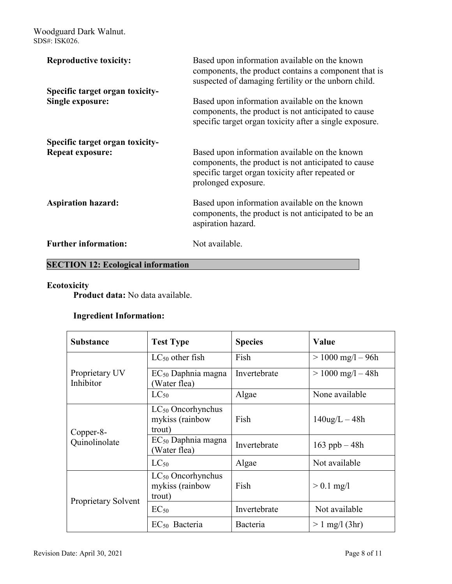| <b>Reproductive toxicity:</b>                              | Based upon information available on the known<br>components, the product contains a component that is<br>suspected of damaging fertility or the unborn child.                   |
|------------------------------------------------------------|---------------------------------------------------------------------------------------------------------------------------------------------------------------------------------|
| Specific target organ toxicity-<br><b>Single exposure:</b> | Based upon information available on the known                                                                                                                                   |
|                                                            | components, the product is not anticipated to cause<br>specific target organ toxicity after a single exposure.                                                                  |
| Specific target organ toxicity-                            |                                                                                                                                                                                 |
| <b>Repeat exposure:</b>                                    | Based upon information available on the known<br>components, the product is not anticipated to cause<br>specific target organ toxicity after repeated or<br>prolonged exposure. |
| <b>Aspiration hazard:</b>                                  | Based upon information available on the known<br>components, the product is not anticipated to be an<br>aspiration hazard.                                                      |
| <b>Further information:</b>                                | Not available.                                                                                                                                                                  |

# **SECTION 12: Ecological information**

# **Ecotoxicity**

**Product data:** No data available.

# **Ingredient Information:**

| <b>Substance</b>            | <b>Test Type</b>                                    | <b>Species</b> | Value                 |
|-----------------------------|-----------------------------------------------------|----------------|-----------------------|
| Proprietary UV<br>Inhibitor | $LC_{50}$ other fish                                | Fish           | $> 1000$ mg/l $- 96h$ |
|                             | $EC_{50}$ Daphnia magna<br>Water flea)              | Invertebrate   | $> 1000$ mg/l $- 48h$ |
|                             | $LC_{50}$                                           | Algae          | None available        |
| Copper-8-<br>Quinolinolate  | $LC_{50}$ Oncorhynchus<br>mykiss (rainbow<br>trout) | Fish           | $140$ ug/L $-48h$     |
|                             | $EC_{50}$ Daphnia magna<br>Water flea)              | Invertebrate   | 163 ppb $-48h$        |
|                             | $LC_{50}$                                           | Algae          | Not available         |
| Proprietary Solvent         | $LC_{50}$ Oncorhynchus<br>mykiss (rainbow<br>trout) | Fish           | $> 0.1$ mg/l          |
|                             | $EC_{50}$                                           | Invertebrate   | Not available         |
|                             | $EC_{50}$ Bacteria                                  | Bacteria       | $> 1$ mg/l (3hr)      |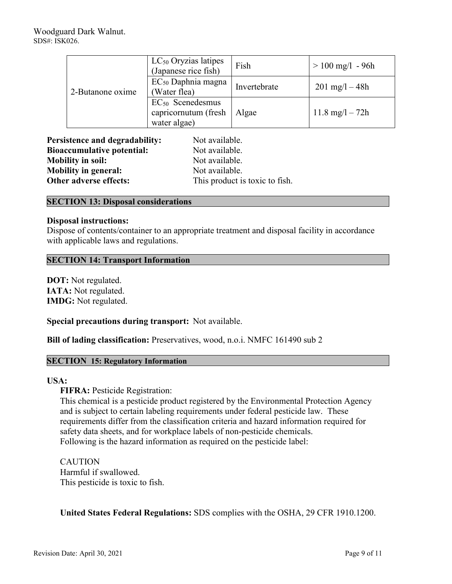| 2-Butanone oxime | LC <sub>50</sub> Oryzias latipes<br>(Japanese rice fish)      | Fish         | $> 100$ mg/l - 96h        |
|------------------|---------------------------------------------------------------|--------------|---------------------------|
|                  | $EC_{50}$ Daphnia magna<br>(Water flea)                       | Invertebrate | $201 \text{ mg}/1 - 48h$  |
|                  | $EC_{50}$ Scenedesmus<br>capricornutum (fresh<br>water algae) | Algae        | $11.8 \text{ mg}/1 - 72h$ |

| <b>Persistence and degradability:</b> | Not available.                 |
|---------------------------------------|--------------------------------|
| <b>Bioaccumulative potential:</b>     | Not available.                 |
| <b>Mobility in soil:</b>              | Not available.                 |
| <b>Mobility in general:</b>           | Not available.                 |
| Other adverse effects:                | This product is toxic to fish. |

#### **SECTION 13: Disposal considerations**

#### **Disposal instructions:**

Dispose of contents/container to an appropriate treatment and disposal facility in accordance with applicable laws and regulations.

#### **SECTION 14: Transport Information**

**DOT:** Not regulated. **IATA:** Not regulated. **IMDG:** Not regulated.

**Special precautions during transport:** Not available.

**Bill of lading classification:** Preservatives, wood, n.o.i. NMFC 161490 sub 2

#### **SECTION 15: Regulatory Information**

#### **USA:**

**FIFRA: Pesticide Registration:** 

This chemical is a pesticide product registered by the Environmental Protection Agency and is subject to certain labeling requirements under federal pesticide law. These requirements differ from the classification criteria and hazard information required for safety data sheets, and for workplace labels of non-pesticide chemicals. Following is the hazard information as required on the pesticide label:

**CAUTION** Harmful if swallowed. This pesticide is toxic to fish.

**United States Federal Regulations:** SDS complies with the OSHA, 29 CFR 1910.1200.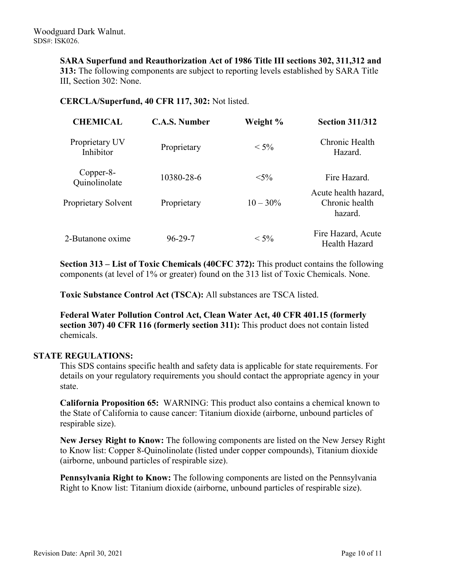**SARA Superfund and Reauthorization Act of 1986 Title III sections 302, 311,312 and 313:** The following components are subject to reporting levels established by SARA Title III, Section 302: None.

#### **CERCLA/Superfund, 40 CFR 117, 302:** Not listed.

| <b>CHEMICAL</b>             | <b>C.A.S. Number</b> | Weight %    | <b>Section 311/312</b>                            |
|-----------------------------|----------------------|-------------|---------------------------------------------------|
| Proprietary UV<br>Inhibitor | Proprietary          | $< 5\%$     | Chronic Health<br>Hazard.                         |
| Copper-8-<br>Quinolinolate  | 10380-28-6           | $< 5\%$     | Fire Hazard.                                      |
| Proprietary Solvent         | Proprietary          | $10 - 30\%$ | Acute health hazard,<br>Chronic health<br>hazard. |
| 2-Butanone oxime            | $96 - 29 - 7$        | $< 5\%$     | Fire Hazard, Acute<br>Health Hazard               |

**Section 313 – List of Toxic Chemicals (40CFC 372):** This product contains the following components (at level of 1% or greater) found on the 313 list of Toxic Chemicals. None.

**Toxic Substance Control Act (TSCA):** All substances are TSCA listed.

**Federal Water Pollution Control Act, Clean Water Act, 40 CFR 401.15 (formerly section 307) 40 CFR 116 (formerly section 311):** This product does not contain listed chemicals.

#### **STATE REGULATIONS:**

This SDS contains specific health and safety data is applicable for state requirements. For details on your regulatory requirements you should contact the appropriate agency in your state.

**California Proposition 65:** WARNING: This product also contains a chemical known to the State of California to cause cancer: Titanium dioxide (airborne, unbound particles of respirable size).

**New Jersey Right to Know:** The following components are listed on the New Jersey Right to Know list: Copper 8-Quinolinolate (listed under copper compounds), Titanium dioxide (airborne, unbound particles of respirable size).

**Pennsylvania Right to Know:** The following components are listed on the Pennsylvania Right to Know list: Titanium dioxide (airborne, unbound particles of respirable size).